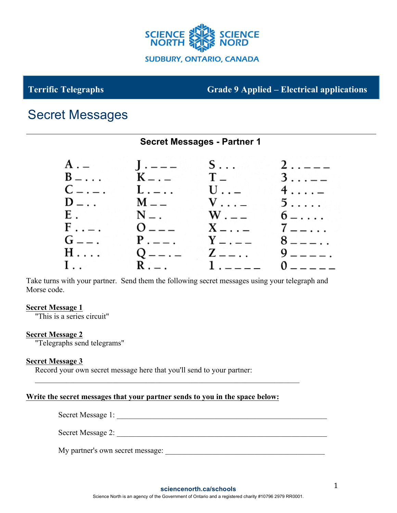

# **Terrific Telegraphs Grade 9 Applied – Electrical applications**

# Secret Messages

# **Secret Messages - Partner 1**

| $A =$        | $J - - -$         | $S \ldots$                            | $2 - -$         |
|--------------|-------------------|---------------------------------------|-----------------|
| $B - \ldots$ | $K_{-}$ . $-$     | $\mathbf{T}$ is a set of $\mathbf{T}$ | $3 \ldots -$    |
| $C_{-}$ .    | $L_{\cdot} = 1$ . | $U \ldots$                            | $4 \ldots$      |
| $D_{-}$ .    | $M =$             | $V \ldots$                            | $5 \ldots$      |
| $E$ , $\sim$ | $N = 1$           | $W_{+--}$                             | $6 - \cdots$    |
| $F \ldots$   | $0$ – – –         | $X - \cdots -$                        | $7 - \ldots$    |
| $G_{--}$ .   |                   | $P_{-} = 0.1$ $Y_{-} = -$             | $8 - - - \cdot$ |
| $H \ldots$   | $Q$ — — —         |                                       |                 |
|              | $R_{i-1}$         | $1. - - - -$                          | $0$ – – – – –   |

Take turns with your partner. Send them the following secret messages using your telegraph and Morse code.

## **Secret Message 1**

"This is a series circuit"

## **Secret Message 2**

"Telegraphs send telegrams"

## **Secret Message 3**

Record your own secret message here that you'll send to your partner:

## **Write the secret messages that your partner sends to you in the space below:**

 $\mathcal{L}_\text{max} = \mathcal{L}_\text{max} = \mathcal{L}_\text{max} = \mathcal{L}_\text{max} = \mathcal{L}_\text{max} = \mathcal{L}_\text{max} = \mathcal{L}_\text{max} = \mathcal{L}_\text{max} = \mathcal{L}_\text{max} = \mathcal{L}_\text{max} = \mathcal{L}_\text{max} = \mathcal{L}_\text{max} = \mathcal{L}_\text{max} = \mathcal{L}_\text{max} = \mathcal{L}_\text{max} = \mathcal{L}_\text{max} = \mathcal{L}_\text{max} = \mathcal{L}_\text{max} = \mathcal{$ 

| Secret Message 1: |  |
|-------------------|--|
|-------------------|--|

Secret Message 2:

My partner's own secret message: